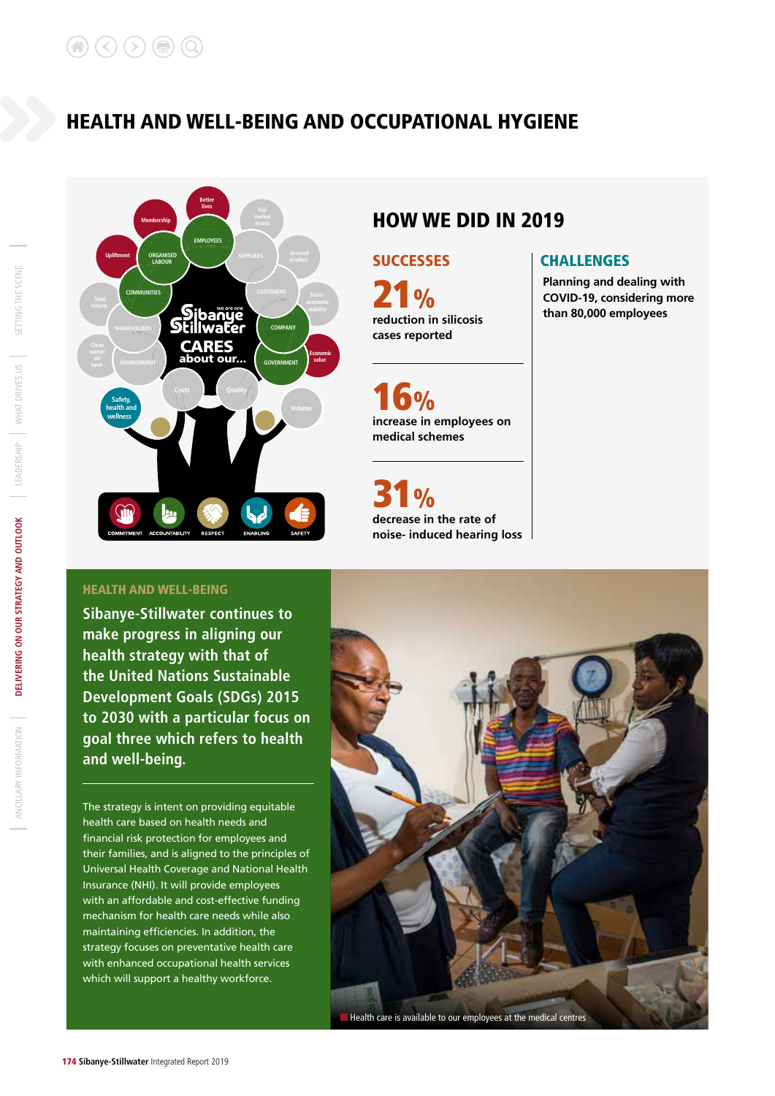

# HOW WE DID IN 2019

**reduction in silicosis cases reported**  $\frac{1}{2}$ 

**increase in employees on medical schemes**  $9/6$ 

**decrease in the rate of noise- induced hearing loss**  $\frac{1}{2}$ 

## SUCCESSES | CHALLENGES

**Planning and dealing with COVID-19, considering more than 80,000 employees**

### HEALTH AND WELL-BEING

**Sibanye-Stillwater continues to make progress in aligning our health strategy with that of the United Nations Sustainable Development Goals (SDGs) 2015 to 2030 with a particular focus on goal three which refers to health and well-being.** 

The strategy is intent on providing equitable health care based on health needs and financial risk protection for employees and their families, and is aligned to the principles of Universal Health Coverage and National Health Insurance (NHI). It will provide employees with an affordable and cost-effective funding mechanism for health care needs while also maintaining efficiencies. In addition, the strategy focuses on preventative health care with enhanced occupational health services which will support a healthy workforce.



SETTING THE SCENE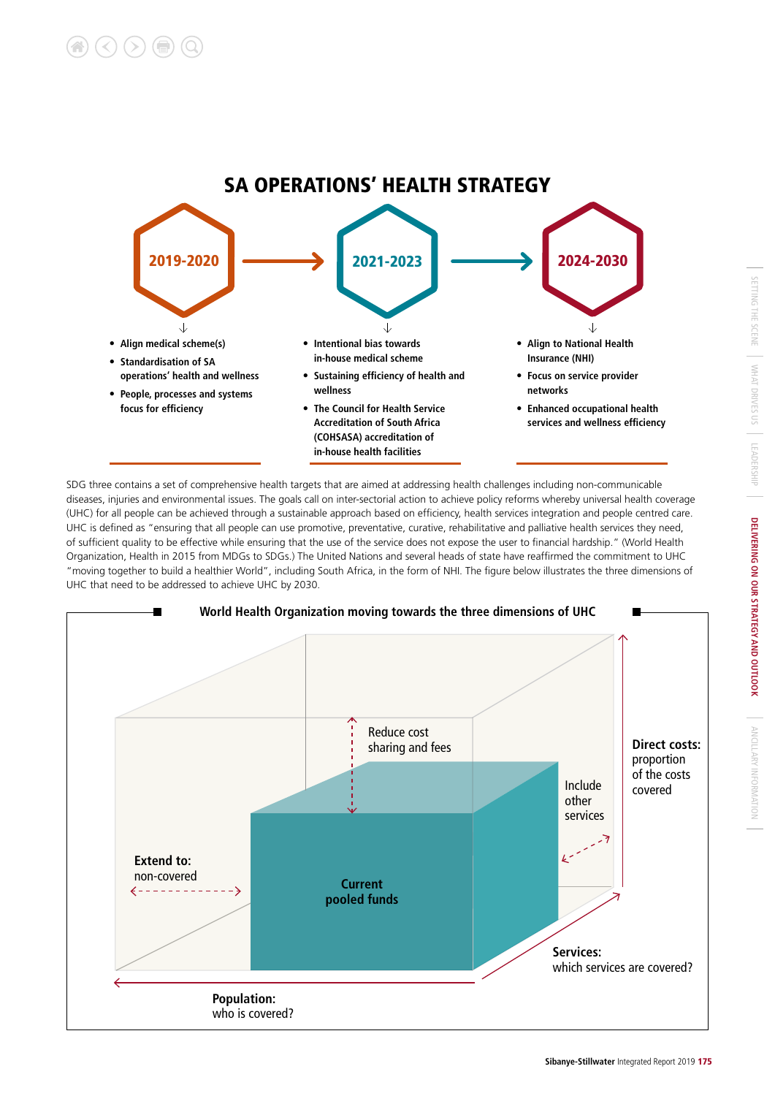

SDG three contains a set of comprehensive health targets that are aimed at addressing health challenges including non-communicable diseases, injuries and environmental issues. The goals call on inter-sectorial action to achieve policy reforms whereby universal health coverage (UHC) for all people can be achieved through a sustainable approach based on efficiency, health services integration and people centred care. UHC is defined as "ensuring that all people can use promotive, preventative, curative, rehabilitative and palliative health services they need, of sufficient quality to be effective while ensuring that the use of the service does not expose the user to financial hardship." (World Health Organization, Health in 2015 from MDGs to SDGs.) The United Nations and several heads of state have reaffirmed the commitment to UHC "moving together to build a healthier World", including South Africa, in the form of NHI. The figure below illustrates the three dimensions of UHC that need to be addressed to achieve UHC by 2030.



ANCILLARY INFORMATION

ANCILLARY INFORMATION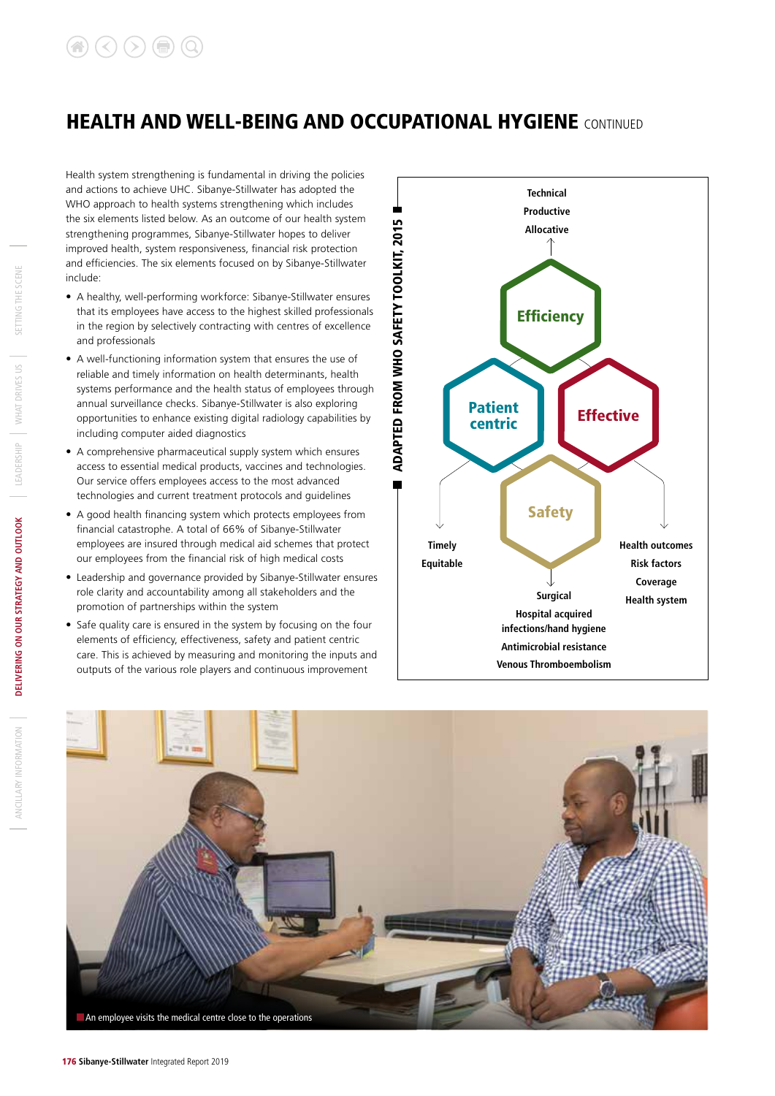Health system strengthening is fundamental in driving the policies and actions to achieve UHC. Sibanye-Stillwater has adopted the WHO approach to health systems strengthening which includes the six elements listed below. As an outcome of our health system strengthening programmes, Sibanye-Stillwater hopes to deliver improved health, system responsiveness, financial risk protection and efficiencies. The six elements focused on by Sibanye-Stillwater include:

- A healthy, well-performing workforce: Sibanye-Stillwater ensures that its employees have access to the highest skilled professionals in the region by selectively contracting with centres of excellence and professionals
- A well-functioning information system that ensures the use of reliable and timely information on health determinants, health systems performance and the health status of employees through annual surveillance checks. Sibanye-Stillwater is also exploring opportunities to enhance existing digital radiology capabilities by including computer aided diagnostics
- A comprehensive pharmaceutical supply system which ensures access to essential medical products, vaccines and technologies. Our service offers employees access to the most advanced technologies and current treatment protocols and guidelines
- A good health financing system which protects employees from financial catastrophe. A total of 66% of Sibanye-Stillwater employees are insured through medical aid schemes that protect our employees from the financial risk of high medical costs
- Leadership and governance provided by Sibanye-Stillwater ensures role clarity and accountability among all stakeholders and the promotion of partnerships within the system
- Safe quality care is ensured in the system by focusing on the four elements of efficiency, effectiveness, safety and patient centric care. This is achieved by measuring and monitoring the inputs and outputs of the various role players and continuous improvement



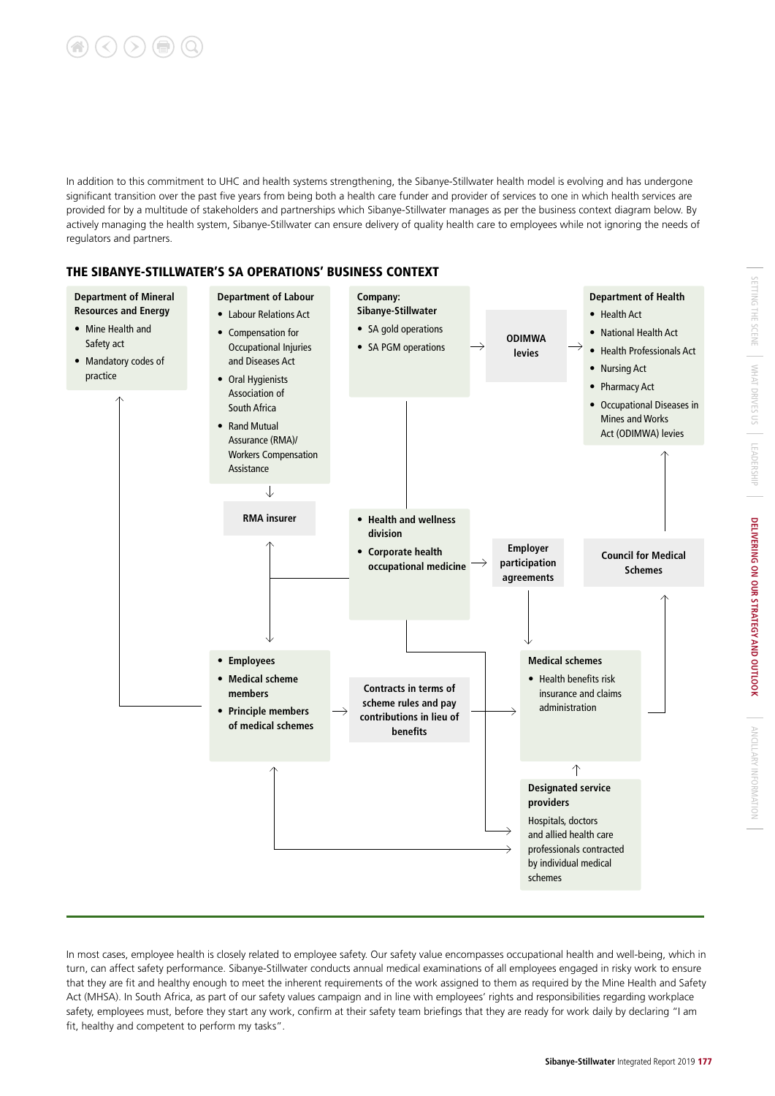

In addition to this commitment to UHC and health systems strengthening, the Sibanye-Stillwater health model is evolving and has undergone significant transition over the past five years from being both a health care funder and provider of services to one in which health services are provided for by a multitude of stakeholders and partnerships which Sibanye-Stillwater manages as per the business context diagram below. By actively managing the health system, Sibanye-Stillwater can ensure delivery of quality health care to employees while not ignoring the needs of regulators and partners.

### THE SIBANYE-STILLWATER'S SA OPERATIONS' BUSINESS CONTEXT



In most cases, employee health is closely related to employee safety. Our safety value encompasses occupational health and well-being, which in turn, can affect safety performance. Sibanye-Stillwater conducts annual medical examinations of all employees engaged in risky work to ensure that they are fit and healthy enough to meet the inherent requirements of the work assigned to them as required by the Mine Health and Safety Act (MHSA). In South Africa, as part of our safety values campaign and in line with employees' rights and responsibilities regarding workplace safety, employees must, before they start any work, confirm at their safety team briefings that they are ready for work daily by declaring "I am fit, healthy and competent to perform my tasks".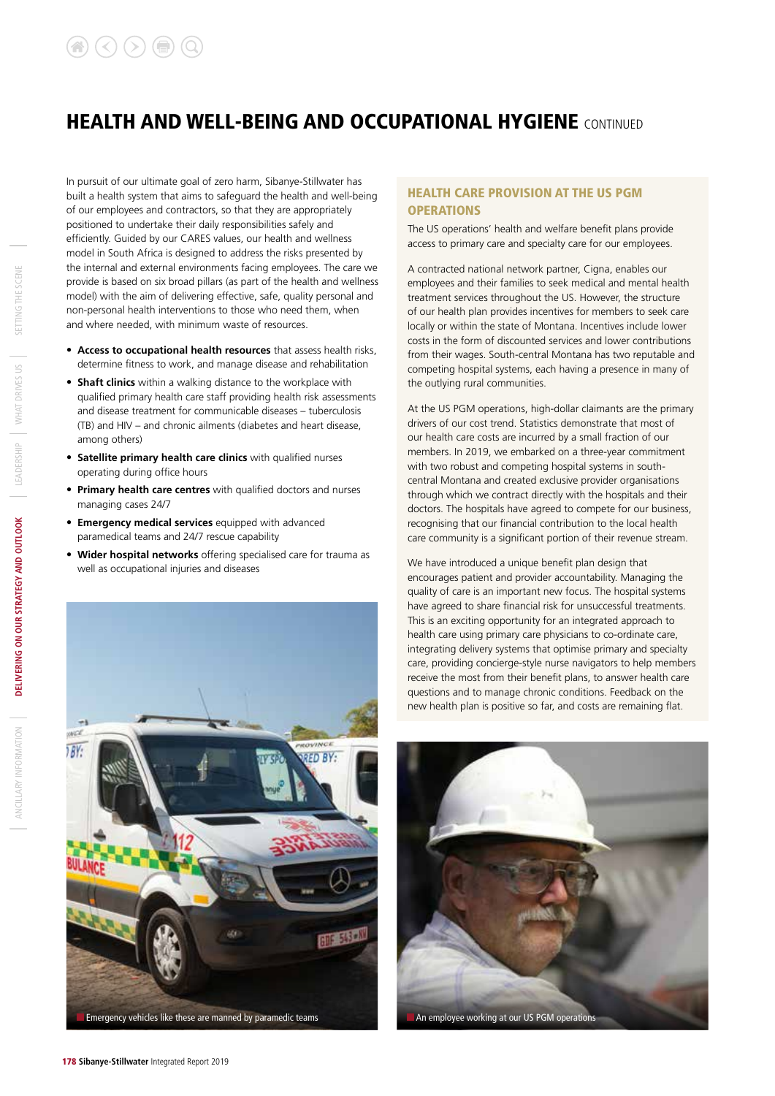In pursuit of our ultimate goal of zero harm, Sibanye-Stillwater has built a health system that aims to safeguard the health and well-being of our employees and contractors, so that they are appropriately positioned to undertake their daily responsibilities safely and efficiently. Guided by our CARES values, our health and wellness model in South Africa is designed to address the risks presented by the internal and external environments facing employees. The care we provide is based on six broad pillars (as part of the health and wellness model) with the aim of delivering effective, safe, quality personal and non-personal health interventions to those who need them, when and where needed, with minimum waste of resources.

- **Access to occupational health resources** that assess health risks, determine fitness to work, and manage disease and rehabilitation
- **Shaft clinics** within a walking distance to the workplace with qualified primary health care staff providing health risk assessments and disease treatment for communicable diseases – tuberculosis (TB) and HIV – and chronic ailments (diabetes and heart disease, among others)
- **Satellite primary health care clinics** with qualified nurses operating during office hours
- **Primary health care centres** with qualified doctors and nurses managing cases 24/7
- **Emergency medical services** equipped with advanced paramedical teams and 24/7 rescue capability
- **Wider hospital networks** offering specialised care for trauma as well as occupational injuries and diseases



#### HEALTH CARE PROVISION AT THE US PGM **OPERATIONS**

The US operations' health and welfare benefit plans provide access to primary care and specialty care for our employees.

A contracted national network partner, Cigna, enables our employees and their families to seek medical and mental health treatment services throughout the US. However, the structure of our health plan provides incentives for members to seek care locally or within the state of Montana. Incentives include lower costs in the form of discounted services and lower contributions from their wages. South-central Montana has two reputable and competing hospital systems, each having a presence in many of the outlying rural communities.

At the US PGM operations, high-dollar claimants are the primary drivers of our cost trend. Statistics demonstrate that most of our health care costs are incurred by a small fraction of our members. In 2019, we embarked on a three-year commitment with two robust and competing hospital systems in southcentral Montana and created exclusive provider organisations through which we contract directly with the hospitals and their doctors. The hospitals have agreed to compete for our business, recognising that our financial contribution to the local health care community is a significant portion of their revenue stream.

We have introduced a unique benefit plan design that encourages patient and provider accountability. Managing the quality of care is an important new focus. The hospital systems have agreed to share financial risk for unsuccessful treatments. This is an exciting opportunity for an integrated approach to health care using primary care physicians to co-ordinate care, integrating delivery systems that optimise primary and specialty care, providing concierge-style nurse navigators to help members receive the most from their benefit plans, to answer health care questions and to manage chronic conditions. Feedback on the new health plan is positive so far, and costs are remaining flat.



ANCILLARY INFORMATION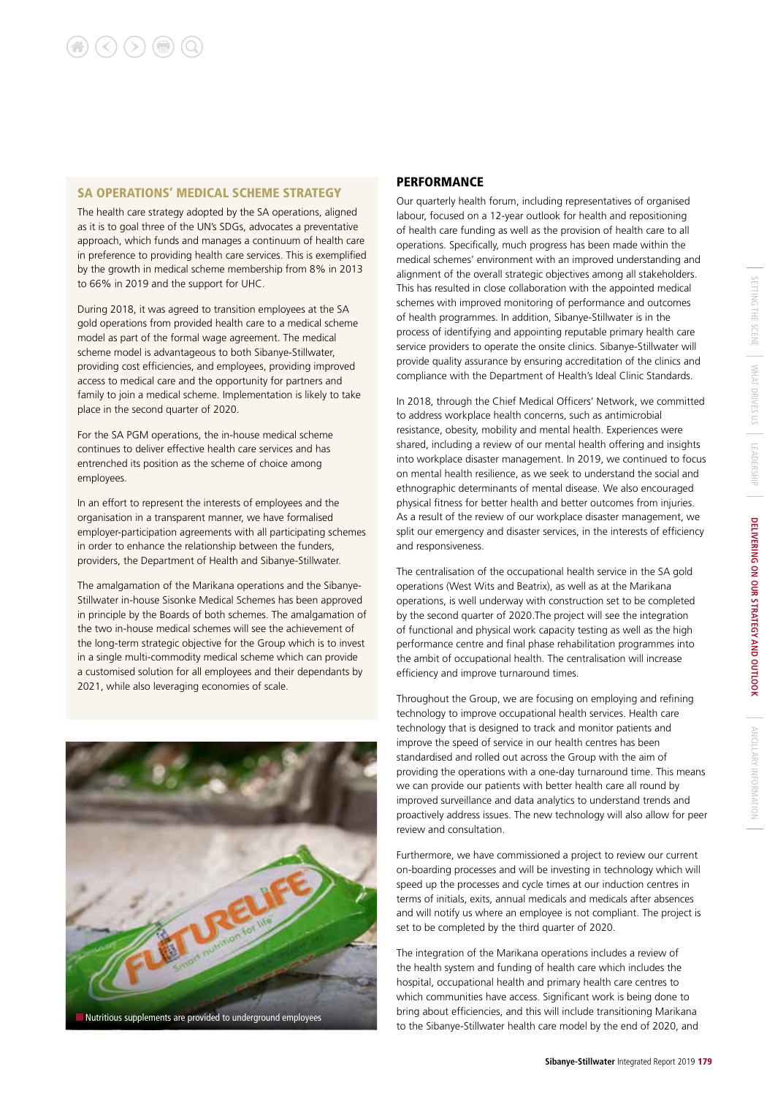#### SA OPERATIONS' MEDICAL SCHEME STRATEGY

The health care strategy adopted by the SA operations, aligned as it is to goal three of the UN's SDGs, advocates a preventative approach, which funds and manages a continuum of health care in preference to providing health care services. This is exemplified by the growth in medical scheme membership from 8% in 2013 to 66% in 2019 and the support for UHC.

During 2018, it was agreed to transition employees at the SA gold operations from provided health care to a medical scheme model as part of the formal wage agreement. The medical scheme model is advantageous to both Sibanye-Stillwater, providing cost efficiencies, and employees, providing improved access to medical care and the opportunity for partners and family to join a medical scheme. Implementation is likely to take place in the second quarter of 2020.

For the SA PGM operations, the in-house medical scheme continues to deliver effective health care services and has entrenched its position as the scheme of choice among employees.

In an effort to represent the interests of employees and the organisation in a transparent manner, we have formalised employer-participation agreements with all participating schemes in order to enhance the relationship between the funders, providers, the Department of Health and Sibanye-Stillwater.

The amalgamation of the Marikana operations and the Sibanye-Stillwater in-house Sisonke Medical Schemes has been approved in principle by the Boards of both schemes. The amalgamation of the two in-house medical schemes will see the achievement of the long-term strategic objective for the Group which is to invest in a single multi-commodity medical scheme which can provide a customised solution for all employees and their dependants by 2021, while also leveraging economies of scale.



#### **PERFORMANCE**

Our quarterly health forum, including representatives of organised labour, focused on a 12-year outlook for health and repositioning of health care funding as well as the provision of health care to all operations. Specifically, much progress has been made within the medical schemes' environment with an improved understanding and alignment of the overall strategic objectives among all stakeholders. This has resulted in close collaboration with the appointed medical schemes with improved monitoring of performance and outcomes of health programmes. In addition, Sibanye-Stillwater is in the process of identifying and appointing reputable primary health care service providers to operate the onsite clinics. Sibanye-Stillwater will provide quality assurance by ensuring accreditation of the clinics and compliance with the Department of Health's Ideal Clinic Standards.

In 2018, through the Chief Medical Officers' Network, we committed to address workplace health concerns, such as antimicrobial resistance, obesity, mobility and mental health. Experiences were shared, including a review of our mental health offering and insights into workplace disaster management. In 2019, we continued to focus on mental health resilience, as we seek to understand the social and ethnographic determinants of mental disease. We also encouraged physical fitness for better health and better outcomes from injuries. As a result of the review of our workplace disaster management, we split our emergency and disaster services, in the interests of efficiency and responsiveness.

The centralisation of the occupational health service in the SA gold operations (West Wits and Beatrix), as well as at the Marikana operations, is well underway with construction set to be completed by the second quarter of 2020.The project will see the integration of functional and physical work capacity testing as well as the high performance centre and final phase rehabilitation programmes into the ambit of occupational health. The centralisation will increase efficiency and improve turnaround times.

Throughout the Group, we are focusing on employing and refining technology to improve occupational health services. Health care technology that is designed to track and monitor patients and improve the speed of service in our health centres has been standardised and rolled out across the Group with the aim of providing the operations with a one-day turnaround time. This means we can provide our patients with better health care all round by improved surveillance and data analytics to understand trends and proactively address issues. The new technology will also allow for peer review and consultation.

Furthermore, we have commissioned a project to review our current on-boarding processes and will be investing in technology which will speed up the processes and cycle times at our induction centres in terms of initials, exits, annual medicals and medicals after absences and will notify us where an employee is not compliant. The project is set to be completed by the third quarter of 2020.

The integration of the Marikana operations includes a review of the health system and funding of health care which includes the hospital, occupational health and primary health care centres to which communities have access. Significant work is being done to bring about efficiencies, and this will include transitioning Marikana ANCILLARY INFORMATION

ANCILARY INFORMATION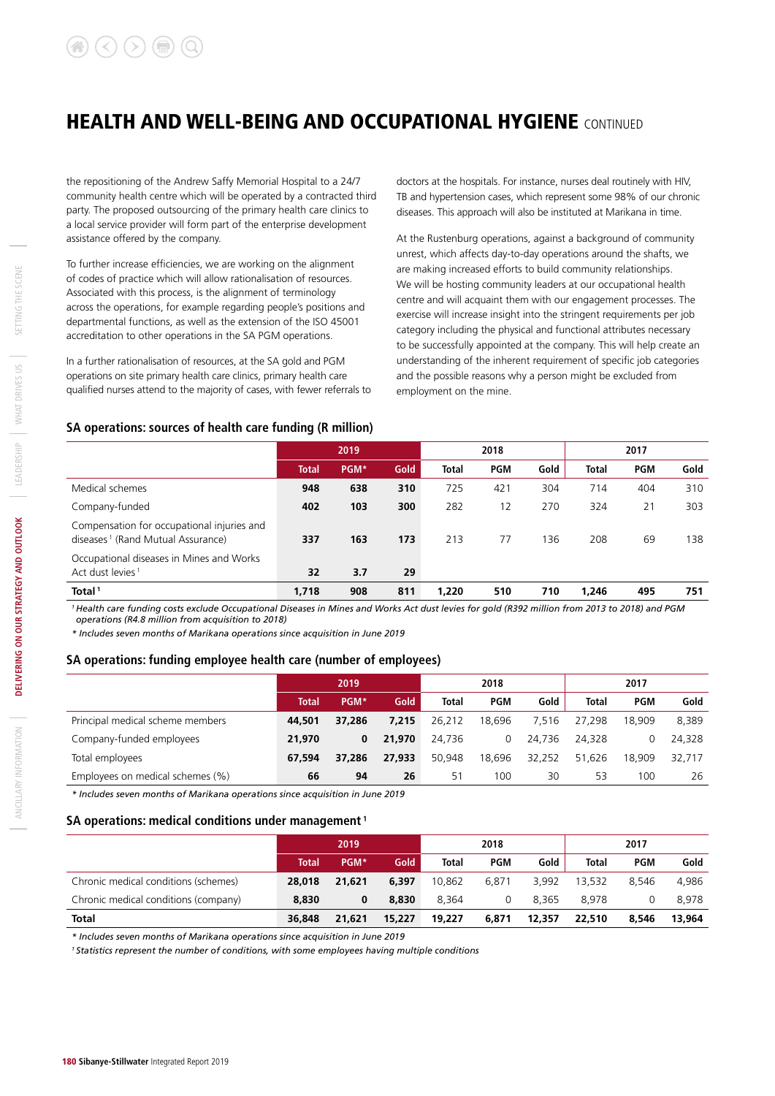the repositioning of the Andrew Saffy Memorial Hospital to a 24/7 community health centre which will be operated by a contracted third party. The proposed outsourcing of the primary health care clinics to a local service provider will form part of the enterprise development assistance offered by the company.

To further increase efficiencies, we are working on the alignment of codes of practice which will allow rationalisation of resources. Associated with this process, is the alignment of terminology across the operations, for example regarding people's positions and departmental functions, as well as the extension of the ISO 45001 accreditation to other operations in the SA PGM operations.

In a further rationalisation of resources, at the SA gold and PGM operations on site primary health care clinics, primary health care qualified nurses attend to the majority of cases, with fewer referrals to doctors at the hospitals. For instance, nurses deal routinely with HIV, TB and hypertension cases, which represent some 98% of our chronic diseases. This approach will also be instituted at Marikana in time.

At the Rustenburg operations, against a background of community unrest, which affects day-to-day operations around the shafts, we are making increased efforts to build community relationships. We will be hosting community leaders at our occupational health centre and will acquaint them with our engagement processes. The exercise will increase insight into the stringent requirements per job category including the physical and functional attributes necessary to be successfully appointed at the company. This will help create an understanding of the inherent requirement of specific job categories and the possible reasons why a person might be excluded from employment on the mine.

### **SA operations: sources of health care funding (R million)**

|                                                                                             |       | 2019 |      |              | 2018       |      | 2017         |            |      |
|---------------------------------------------------------------------------------------------|-------|------|------|--------------|------------|------|--------------|------------|------|
|                                                                                             | Total | PGM* | Gold | <b>Total</b> | <b>PGM</b> | Gold | <b>Total</b> | <b>PGM</b> | Gold |
| Medical schemes                                                                             | 948   | 638  | 310  | 725          | 421        | 304  | 714          | 404        | 310  |
| Company-funded                                                                              | 402   | 103  | 300  | 282          | 12         | 270  | 324          | 21         | 303  |
| Compensation for occupational injuries and<br>diseases <sup>1</sup> (Rand Mutual Assurance) | 337   | 163  | 173  | 213          | 77         | 136  | 208          | 69         | 138  |
| Occupational diseases in Mines and Works<br>Act dust levies <sup>1</sup>                    | 32    | 3.7  | 29   |              |            |      |              |            |      |
| Total <sup>1</sup>                                                                          | 1.718 | 908  | 811  | 1.220        | 510        | 710  | 1.246        | 495        | 751  |

*1 Health care funding costs exclude Occupational Diseases in Mines and Works Act dust levies for gold (R392 million from 2013 to 2018) and PGM operations (R4.8 million from acquisition to 2018)*

*\* Includes seven months of Marikana operations since acquisition in June 2019*

#### **SA operations: funding employee health care (number of employees)**

|                                  |              | 2019   |             |              | 2018       |        | 2017         |            |        |
|----------------------------------|--------------|--------|-------------|--------------|------------|--------|--------------|------------|--------|
|                                  | <b>Total</b> | PGM*   | <b>Gold</b> | <b>Total</b> | <b>PGM</b> | Gold   | <b>Total</b> | <b>PGM</b> | Gold   |
| Principal medical scheme members | 44,501       | 37,286 | 7.215       | 26,212       | 18.696     | 7.516  | 27,298       | 18,909     | 8,389  |
| Company-funded employees         | 21,970       | 0      | 21,970      | 24.736       | 0          | 24.736 | 24.328       | 0          | 24.328 |
| Total employees                  | 67.594       | 37,286 | 27,933      | 50.948       | 18.696     | 32,252 | 51.626       | 18,909     | 32,717 |
| Employees on medical schemes (%) | 66           | 94     | 26          | 51           | 100        | 30     | 53           | 100        | 26     |

*\* Includes seven months of Marikana operations since acquisition in June 2019*

#### **SA operations: medical conditions under management 1**

|                                      | 2019   |        |        |        | 2018       |        |              | 2017       |        |  |
|--------------------------------------|--------|--------|--------|--------|------------|--------|--------------|------------|--------|--|
|                                      | Total  | PGM*   | Gold   | Total  | <b>PGM</b> | Gold   | <b>Total</b> | <b>PGM</b> | Gold   |  |
| Chronic medical conditions (schemes) | 28,018 | 21.621 | 6,397  | 10.862 | 6.871      | 3.992  | 13,532       | 8.546      | 4.986  |  |
| Chronic medical conditions (company) | 8.830  | 0      | 8,830  | 8.364  | 0          | 8.365  | 8.978        |            | 8.978  |  |
| <b>Total</b>                         | 36,848 | 21.621 | 15,227 | 19,227 | 6,871      | 12,357 | 22,510       | 8.546      | 13.964 |  |

*\* Includes seven months of Marikana operations since acquisition in June 2019*

*1 Statistics represent the number of conditions, with some employees having multiple conditions*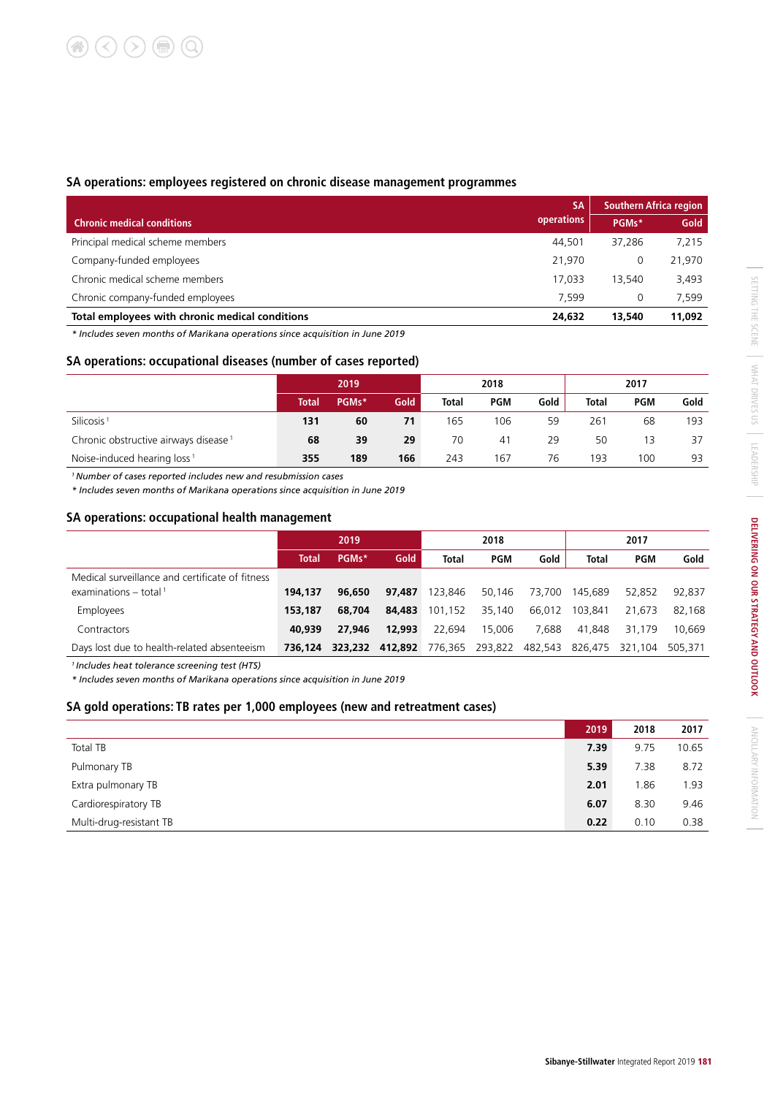### **SA operations: employees registered on chronic disease management programmes**

|                                                 | <b>SA</b>  | <b>Southern Africa region</b> |        |  |
|-------------------------------------------------|------------|-------------------------------|--------|--|
| <b>Chronic medical conditions</b>               | operations | PGMs*                         | Gold   |  |
| Principal medical scheme members                | 44.501     | 37,286                        | 7,215  |  |
| Company-funded employees                        | 21.970     | 0                             | 21,970 |  |
| Chronic medical scheme members                  | 17.033     | 13.540                        | 3,493  |  |
| Chronic company-funded employees                | 7.599      | 0                             | 7,599  |  |
| Total employees with chronic medical conditions | 24,632     | 13,540                        | 11,092 |  |

*\* Includes seven months of Marikana operations since acquisition in June 2019*

#### **SA operations: occupational diseases (number of cases reported)**

|                                                  | 2019         |       |      |       | 2018       |      | 2017         |            |      |
|--------------------------------------------------|--------------|-------|------|-------|------------|------|--------------|------------|------|
|                                                  | <b>Total</b> | PGMs* | Gold | Total | <b>PGM</b> | Gold | <b>Total</b> | <b>PGM</b> | Gold |
| Silicosis <sup>1</sup>                           | 131          | 60    | 71   | 165   | 106        | 59   | 261          | 68         | 193  |
| Chronic obstructive airways disease <sup>1</sup> | 68           | 39    | 29   | 70    | 41         | 29   | 50           | 13         | 37   |
| Noise-induced hearing loss <sup>1</sup>          | 355          | 189   | 166  | 243   | 167        | 76   | 193          | 100        | 93   |

*1 Number of cases reported includes new and resubmission cases* 

*\* Includes seven months of Marikana operations since acquisition in June 2019*

#### **SA operations: occupational health management**

|                                                 |              | 2019    |         |         | 2018       |         | 2017         |         |         |
|-------------------------------------------------|--------------|---------|---------|---------|------------|---------|--------------|---------|---------|
|                                                 | <b>Total</b> | PGMs*   | Gold    | Total   | <b>PGM</b> | Gold    | <b>Total</b> | PGM     | Gold    |
| Medical surveillance and certificate of fitness |              |         |         |         |            |         |              |         |         |
| examinations $-$ total <sup>1</sup>             | 194,137      | 96.650  | 97.487  | 123.846 | 50.146     | 73,700  | 145.689      | 52,852  | 92,837  |
| Employees                                       | 153.187      | 68,704  | 84,483  | 101.152 | 35,140     | 66.012  | 103.841      | 21.673  | 82.168  |
| Contractors                                     | 40,939       | 27.946  | 12,993  | 22.694  | 15,006     | 7.688   | 41.848       | 31.179  | 10.669  |
| Days lost due to health-related absenteeism     | 736.124      | 323.232 | 412,892 | 776.365 | 293,822    | 482.543 | 826.475      | 321.104 | 505,371 |

*1 Includes heat tolerance screening test (HTS)*

*\* Includes seven months of Marikana operations since acquisition in June 2019*

#### **SA gold operations: TB rates per 1,000 employees (new and retreatment cases)**

|                         | 2019 | 2018 | 2017  |
|-------------------------|------|------|-------|
| <b>Total TB</b>         | 7.39 | 9.75 | 10.65 |
| Pulmonary TB            | 5.39 | 7.38 | 8.72  |
| Extra pulmonary TB      | 2.01 | 1.86 | 1.93  |
| Cardiorespiratory TB    | 6.07 | 8.30 | 9.46  |
| Multi-drug-resistant TB | 0.22 | 0.10 | 0.38  |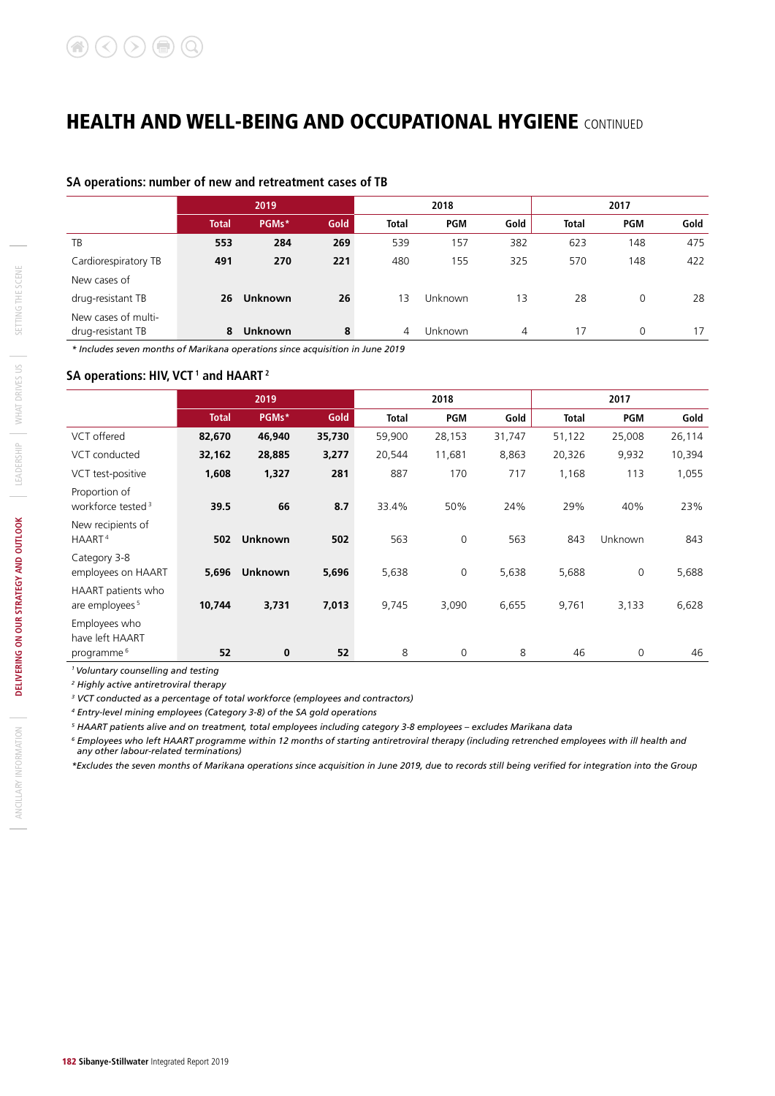### **SA operations: number of new and retreatment cases of TB**

| 2019         |         |                | 2018         |            |         | 2017         |            |      |  |
|--------------|---------|----------------|--------------|------------|---------|--------------|------------|------|--|
| <b>Total</b> | PGMs*   | Gold           | <b>Total</b> | <b>PGM</b> | Gold    | <b>Total</b> | <b>PGM</b> | Gold |  |
| 553          | 284     | 269            | 539          | 157        | 382     | 623          | 148        | 475  |  |
| 491          | 270     | 221            | 480          | 155        | 325     | 570          | 148        | 422  |  |
|              |         |                |              |            |         |              |            |      |  |
| 26           | Unknown | 26             | 13           | Unknown    | 13      | 28           | $\Omega$   | 28   |  |
|              |         |                |              |            |         |              |            | 17   |  |
|              | 8       | <b>Unknown</b> | 8            | 4          | Unknown | 4            | 17         | 0    |  |

*\* Includes seven months of Marikana operations since acquisition in June 2019*

### SA operations: HIV, VCT<sup>1</sup> and HAART<sup>2</sup>

|                                                  | 2019         |                |        |              | 2018       |        | 2017   |                |        |  |
|--------------------------------------------------|--------------|----------------|--------|--------------|------------|--------|--------|----------------|--------|--|
|                                                  | <b>Total</b> | PGMs*          | Gold   | <b>Total</b> | <b>PGM</b> | Gold   | Total  | <b>PGM</b>     | Gold   |  |
| VCT offered                                      | 82,670       | 46,940         | 35,730 | 59,900       | 28,153     | 31,747 | 51,122 | 25,008         | 26,114 |  |
| VCT conducted                                    | 32,162       | 28,885         | 3,277  | 20,544       | 11,681     | 8,863  | 20,326 | 9,932          | 10,394 |  |
| VCT test-positive                                | 1,608        | 1,327          | 281    | 887          | 170        | 717    | 1,168  | 113            | 1,055  |  |
| Proportion of<br>workforce tested <sup>3</sup>   | 39.5         | 66             | 8.7    | 33.4%        | 50%        | 24%    | 29%    | 40%            | 23%    |  |
| New recipients of<br>HAART <sup>4</sup>          | 502          | <b>Unknown</b> | 502    | 563          | 0          | 563    | 843    | <b>Unknown</b> | 843    |  |
| Category 3-8<br>employees on HAART               | 5,696        | <b>Unknown</b> | 5,696  | 5,638        | 0          | 5,638  | 5,688  | $\mathbf 0$    | 5,688  |  |
| HAART patients who<br>are employees <sup>5</sup> | 10,744       | 3,731          | 7,013  | 9,745        | 3,090      | 6,655  | 9,761  | 3,133          | 6,628  |  |
| Employees who<br>have left HAART                 |              |                |        |              |            |        |        |                | 46     |  |
| programme <sup>6</sup>                           | 52           | $\bf{0}$       | 52     | 8            | 0          | 8      | 46     | $\Omega$       |        |  |

*1 Voluntary counselling and testing*

*2 Highly active antiretroviral therapy*

*3 VCT conducted as a percentage of total workforce (employees and contractors)*

*4 Entry-level mining employees (Category 3-8) of the SA gold operations*

*5 HAART patients alive and on treatment, total employees including category 3-8 employees – excludes Marikana data*

*<sup>6</sup> Employees who left HAART programme within 12 months of starting antiretroviral therapy (including retrenched employees with ill health and any other labour-related terminations)*

*\*Excludes the seven months of Marikana operations since acquisition in June 2019, due to records still being verified for integration into the Group*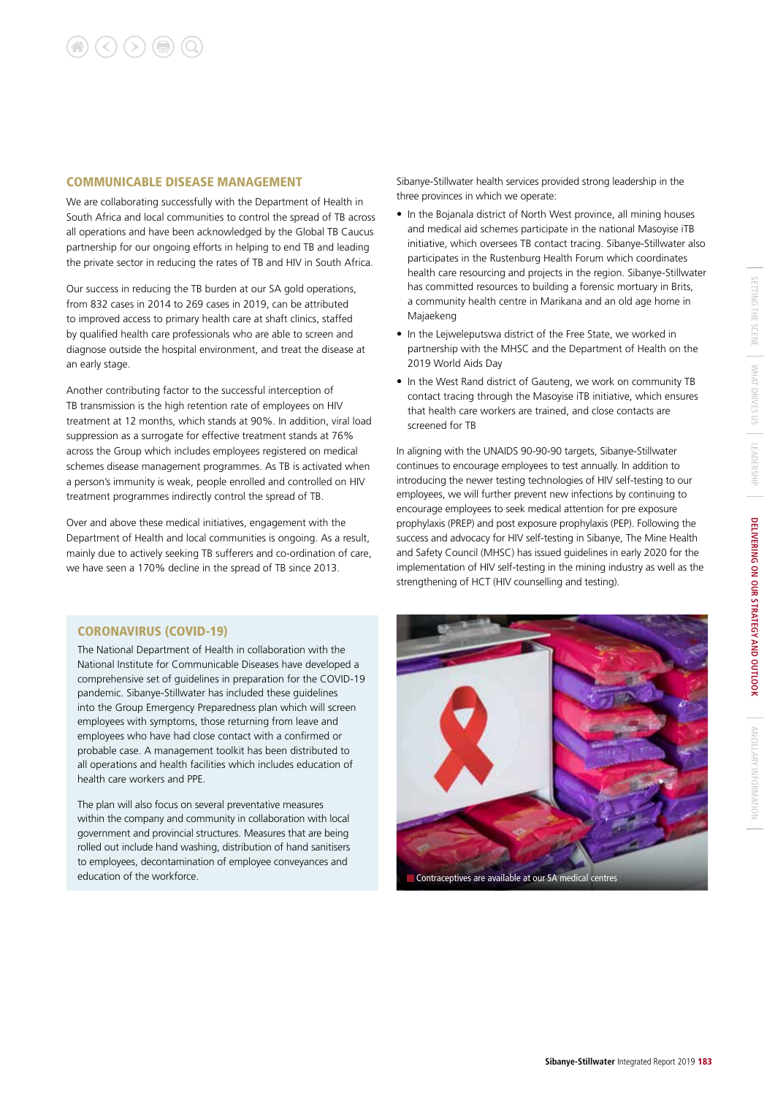#### COMMUNICABLE DISEASE MANAGEMENT

We are collaborating successfully with the Department of Health in South Africa and local communities to control the spread of TB across all operations and have been acknowledged by the Global TB Caucus partnership for our ongoing efforts in helping to end TB and leading the private sector in reducing the rates of TB and HIV in South Africa.

Our success in reducing the TB burden at our SA gold operations, from 832 cases in 2014 to 269 cases in 2019, can be attributed to improved access to primary health care at shaft clinics, staffed by qualified health care professionals who are able to screen and diagnose outside the hospital environment, and treat the disease at an early stage.

Another contributing factor to the successful interception of TB transmission is the high retention rate of employees on HIV treatment at 12 months, which stands at 90%. In addition, viral load suppression as a surrogate for effective treatment stands at 76% across the Group which includes employees registered on medical schemes disease management programmes. As TB is activated when a person's immunity is weak, people enrolled and controlled on HIV treatment programmes indirectly control the spread of TB.

Over and above these medical initiatives, engagement with the Department of Health and local communities is ongoing. As a result, mainly due to actively seeking TB sufferers and co-ordination of care, we have seen a 170% decline in the spread of TB since 2013.

#### CORONAVIRUS (COVID-19)

The National Department of Health in collaboration with the National Institute for Communicable Diseases have developed a comprehensive set of guidelines in preparation for the COVID-19 pandemic. Sibanye-Stillwater has included these guidelines into the Group Emergency Preparedness plan which will screen employees with symptoms, those returning from leave and employees who have had close contact with a confirmed or probable case. A management toolkit has been distributed to all operations and health facilities which includes education of health care workers and PPE.

The plan will also focus on several preventative measures within the company and community in collaboration with local government and provincial structures. Measures that are being rolled out include hand washing, distribution of hand sanitisers to employees, decontamination of employee conveyances and education of the workforce.

Sibanye-Stillwater health services provided strong leadership in the three provinces in which we operate:

- In the Bojanala district of North West province, all mining houses and medical aid schemes participate in the national Masoyise iTB initiative, which oversees TB contact tracing. Sibanye-Stillwater also participates in the Rustenburg Health Forum which coordinates health care resourcing and projects in the region. Sibanye-Stillwater has committed resources to building a forensic mortuary in Brits, a community health centre in Marikana and an old age home in Majaekeng
- In the Lejweleputswa district of the Free State, we worked in partnership with the MHSC and the Department of Health on the 2019 World Aids Day
- In the West Rand district of Gauteng, we work on community TB contact tracing through the Masoyise iTB initiative, which ensures that health care workers are trained, and close contacts are screened for TB

In aligning with the UNAIDS 90-90-90 targets, Sibanye-Stillwater continues to encourage employees to test annually. In addition to introducing the newer testing technologies of HIV self-testing to our employees, we will further prevent new infections by continuing to encourage employees to seek medical attention for pre exposure prophylaxis (PREP) and post exposure prophylaxis (PEP). Following the success and advocacy for HIV self-testing in Sibanye, The Mine Health and Safety Council (MHSC) has issued guidelines in early 2020 for the implementation of HIV self-testing in the mining industry as well as the strengthening of HCT (HIV counselling and testing).

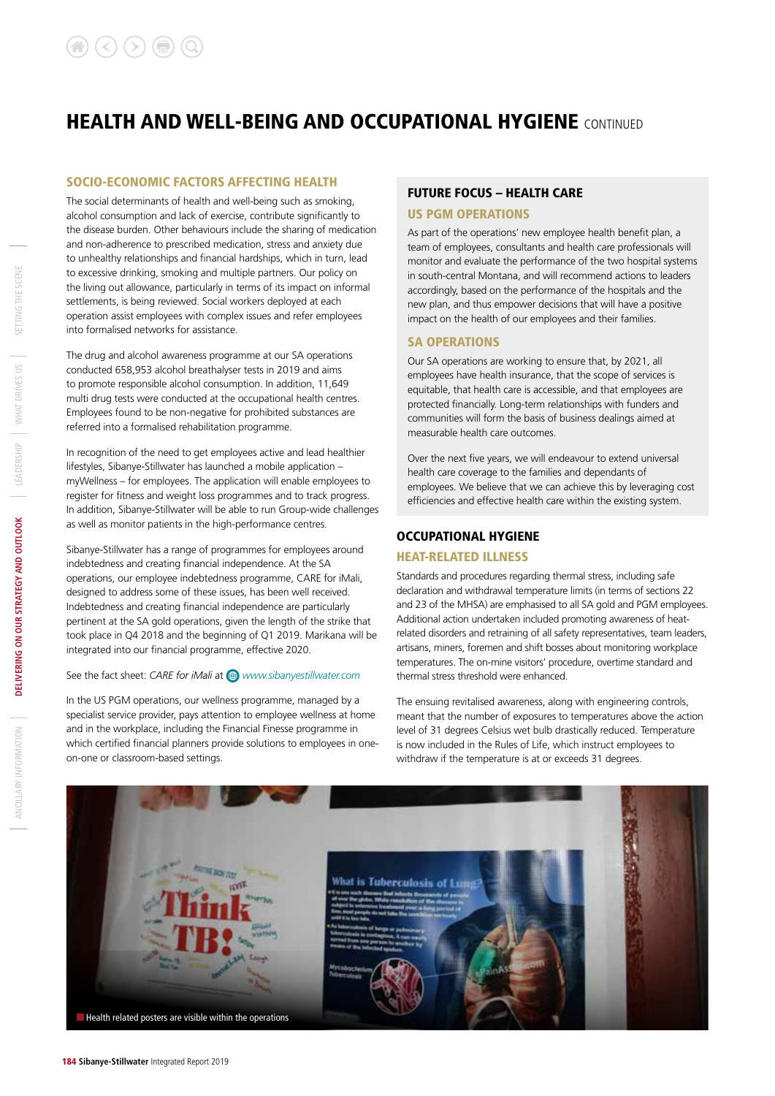#### SOCIO-ECONOMIC FACTORS AFFECTING HEALTH

The social determinants of health and well-being such as smoking, alcohol consumption and lack of exercise, contribute significantly to the disease burden. Other behaviours include the sharing of medication and non-adherence to prescribed medication, stress and anxiety due to unhealthy relationships and financial hardships, which in turn, lead to excessive drinking, smoking and multiple partners. Our policy on the living out allowance, particularly in terms of its impact on informal settlements, is being reviewed. Social workers deployed at each operation assist employees with complex issues and refer employees into formalised networks for assistance.

The drug and alcohol awareness programme at our SA operations conducted 658,953 alcohol breathalyser tests in 2019 and aims to promote responsible alcohol consumption. In addition, 11,649 multi drug tests were conducted at the occupational health centres. Employees found to be non-negative for prohibited substances are referred into a formalised rehabilitation programme.

In recognition of the need to get employees active and lead healthier lifestyles, Sibanye-Stillwater has launched a mobile application – myWellness – for employees. The application will enable employees to register for fitness and weight loss programmes and to track progress. In addition, Sibanye-Stillwater will be able to run Group-wide challenges as well as monitor patients in the high-performance centres.

Sibanye-Stillwater has a range of programmes for employees around indebtedness and creating financial independence. At the SA operations, our employee indebtedness programme, CARE for iMali, designed to address some of these issues, has been well received. Indebtedness and creating financial independence are particularly pertinent at the SA gold operations, given the length of the strike that took place in Q4 2018 and the beginning of Q1 2019. Marikana will be integrated into our financial programme, effective 2020.

#### See the fact sheet: *CARE for iMali* at  $\bigoplus$  www.sibanyestillwater.com

In the US PGM operations, our wellness programme, managed by a specialist service provider, pays attention to employee wellness at home and in the workplace, including the Financial Finesse programme in which certified financial planners provide solutions to employees in oneon-one or classroom-based settings.

### FUTURE FOCUS – HEALTH CARE

#### US PGM OPERATIONS

As part of the operations' new employee health benefit plan, a team of employees, consultants and health care professionals will monitor and evaluate the performance of the two hospital systems in south-central Montana, and will recommend actions to leaders accordingly, based on the performance of the hospitals and the new plan, and thus empower decisions that will have a positive impact on the health of our employees and their families.

#### SA OPERATIONS

Our SA operations are working to ensure that, by 2021, all employees have health insurance, that the scope of services is equitable, that health care is accessible, and that employees are protected financially. Long-term relationships with funders and communities will form the basis of business dealings aimed at measurable health care outcomes.

Over the next five years, we will endeavour to extend universal health care coverage to the families and dependants of employees. We believe that we can achieve this by leveraging cost efficiencies and effective health care within the existing system.

### OCCUPATIONAL HYGIENE

#### HEAT-RELATED ILLNESS

Standards and procedures regarding thermal stress, including safe declaration and withdrawal temperature limits (in terms of sections 22 and 23 of the MHSA) are emphasised to all SA gold and PGM employees. Additional action undertaken included promoting awareness of heatrelated disorders and retraining of all safety representatives, team leaders, artisans, miners, foremen and shift bosses about monitoring workplace temperatures. The on-mine visitors' procedure, overtime standard and thermal stress threshold were enhanced.

The ensuing revitalised awareness, along with engineering controls, meant that the number of exposures to temperatures above the action level of 31 degrees Celsius wet bulb drastically reduced. Temperature is now included in the Rules of Life, which instruct employees to withdraw if the temperature is at or exceeds 31 degrees.

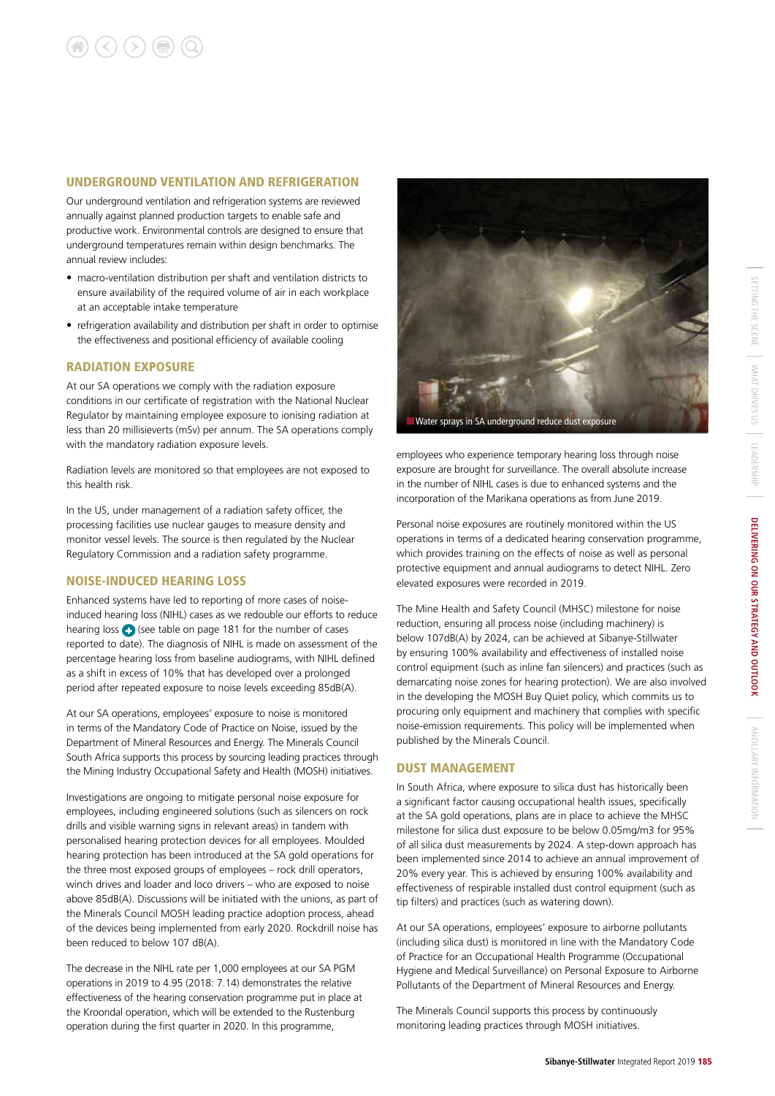#### UNDERGROUND VENTILATION AND REFRIGERATION

Our underground ventilation and refrigeration systems are reviewed annually against planned production targets to enable safe and productive work. Environmental controls are designed to ensure that underground temperatures remain within design benchmarks. The annual review includes:

- macro-ventilation distribution per shaft and ventilation districts to ensure availability of the required volume of air in each workplace at an acceptable intake temperature
- refrigeration availability and distribution per shaft in order to optimise the effectiveness and positional efficiency of available cooling

#### RADIATION EXPOSURE

At our SA operations we comply with the radiation exposure conditions in our certificate of registration with the National Nuclear Regulator by maintaining employee exposure to ionising radiation at less than 20 millisieverts (mSv) per annum. The SA operations comply with the mandatory radiation exposure levels.

Radiation levels are monitored so that employees are not exposed to this health risk.

In the US, under management of a radiation safety officer, the processing facilities use nuclear gauges to measure density and monitor vessel levels. The source is then regulated by the Nuclear Regulatory Commission and a radiation safety programme.

#### NOISE-INDUCED HEARING LOSS

Enhanced systems have led to reporting of more cases of noiseinduced hearing loss (NIHL) cases as we redouble our efforts to reduce hearing loss  $\bigodot$  (see table on page 181 for the number of cases reported to date). The diagnosis of NIHL is made on assessment of the percentage hearing loss from baseline audiograms, with NIHL defined as a shift in excess of 10% that has developed over a prolonged period after repeated exposure to noise levels exceeding 85dB(A).

At our SA operations, employees' exposure to noise is monitored in terms of the Mandatory Code of Practice on Noise, issued by the Department of Mineral Resources and Energy. The Minerals Council South Africa supports this process by sourcing leading practices through the Mining Industry Occupational Safety and Health (MOSH) initiatives.

Investigations are ongoing to mitigate personal noise exposure for employees, including engineered solutions (such as silencers on rock drills and visible warning signs in relevant areas) in tandem with personalised hearing protection devices for all employees. Moulded hearing protection has been introduced at the SA gold operations for the three most exposed groups of employees – rock drill operators, winch drives and loader and loco drivers – who are exposed to noise above 85dB(A). Discussions will be initiated with the unions, as part of the Minerals Council MOSH leading practice adoption process, ahead of the devices being implemented from early 2020. Rockdrill noise has been reduced to below 107 dB(A).

The decrease in the NIHL rate per 1,000 employees at our SA PGM operations in 2019 to 4.95 (2018: 7.14) demonstrates the relative effectiveness of the hearing conservation programme put in place at the Kroondal operation, which will be extended to the Rustenburg operation during the first quarter in 2020. In this programme,



employees who experience temporary hearing loss through noise exposure are brought for surveillance. The overall absolute increase in the number of NIHL cases is due to enhanced systems and the incorporation of the Marikana operations as from June 2019.

Personal noise exposures are routinely monitored within the US operations in terms of a dedicated hearing conservation programme, which provides training on the effects of noise as well as personal protective equipment and annual audiograms to detect NIHL. Zero elevated exposures were recorded in 2019.

The Mine Health and Safety Council (MHSC) milestone for noise reduction, ensuring all process noise (including machinery) is below 107dB(A) by 2024, can be achieved at Sibanye-Stillwater by ensuring 100% availability and effectiveness of installed noise control equipment (such as inline fan silencers) and practices (such as demarcating noise zones for hearing protection). We are also involved in the developing the MOSH Buy Quiet policy, which commits us to procuring only equipment and machinery that complies with specific noise-emission requirements. This policy will be implemented when published by the Minerals Council.

#### DUST MANAGEMENT

In South Africa, where exposure to silica dust has historically been a significant factor causing occupational health issues, specifically at the SA gold operations, plans are in place to achieve the MHSC milestone for silica dust exposure to be below 0.05mg/m3 for 95% of all silica dust measurements by 2024. A step-down approach has been implemented since 2014 to achieve an annual improvement of 20% every year. This is achieved by ensuring 100% availability and effectiveness of respirable installed dust control equipment (such as tip filters) and practices (such as watering down).

At our SA operations, employees' exposure to airborne pollutants (including silica dust) is monitored in line with the Mandatory Code of Practice for an Occupational Health Programme (Occupational Hygiene and Medical Surveillance) on Personal Exposure to Airborne Pollutants of the Department of Mineral Resources and Energy.

The Minerals Council supports this process by continuously monitoring leading practices through MOSH initiatives.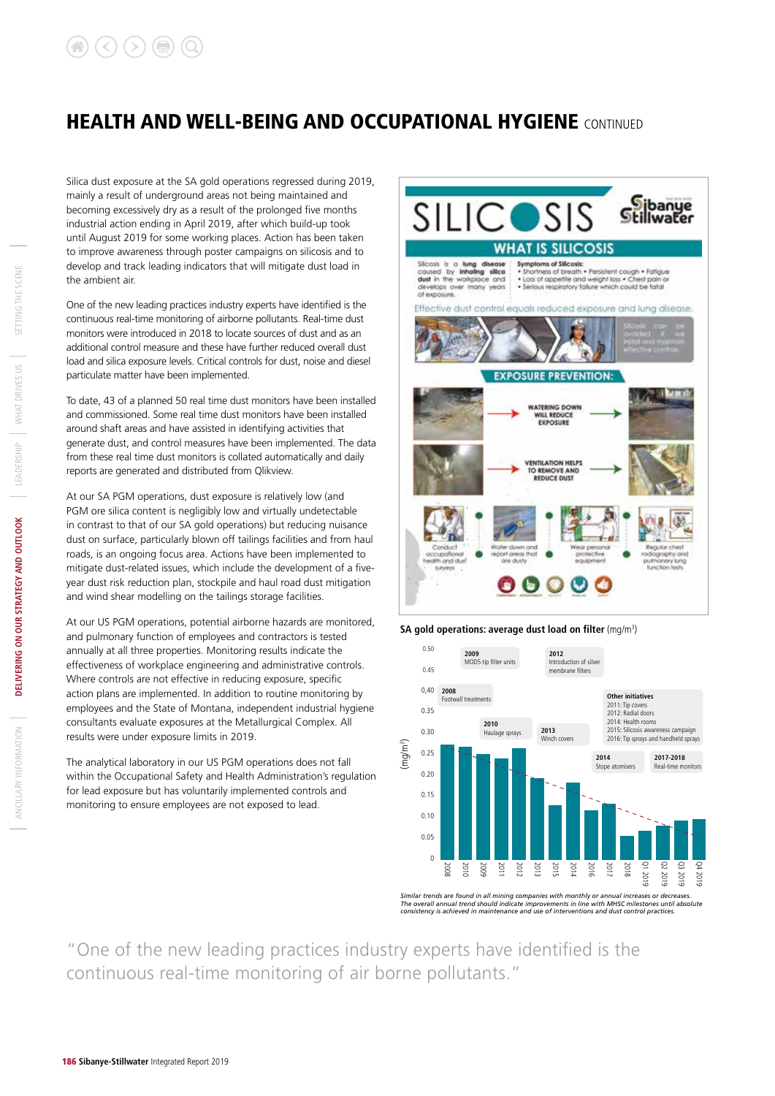Silica dust exposure at the SA gold operations regressed during 2019, mainly a result of underground areas not being maintained and becoming excessively dry as a result of the prolonged five months industrial action ending in April 2019, after which build-up took until August 2019 for some working places. Action has been taken to improve awareness through poster campaigns on silicosis and to develop and track leading indicators that will mitigate dust load in the ambient air.

One of the new leading practices industry experts have identified is the continuous real-time monitoring of airborne pollutants. Real-time dust monitors were introduced in 2018 to locate sources of dust and as an additional control measure and these have further reduced overall dust load and silica exposure levels. Critical controls for dust, noise and diesel particulate matter have been implemented.

To date, 43 of a planned 50 real time dust monitors have been installed and commissioned. Some real time dust monitors have been installed around shaft areas and have assisted in identifying activities that generate dust, and control measures have been implemented. The data from these real time dust monitors is collated automatically and daily reports are generated and distributed from Qlikview.

At our SA PGM operations, dust exposure is relatively low (and PGM ore silica content is negligibly low and virtually undetectable in contrast to that of our SA gold operations) but reducing nuisance dust on surface, particularly blown off tailings facilities and from haul roads, is an ongoing focus area. Actions have been implemented to mitigate dust-related issues, which include the development of a fiveyear dust risk reduction plan, stockpile and haul road dust mitigation and wind shear modelling on the tailings storage facilities.

At our US PGM operations, potential airborne hazards are monitored, and pulmonary function of employees and contractors is tested annually at all three properties. Monitoring results indicate the effectiveness of workplace engineering and administrative controls. Where controls are not effective in reducing exposure, specific action plans are implemented. In addition to routine monitoring by employees and the State of Montana, independent industrial hygiene consultants evaluate exposures at the Metallurgical Complex. All results were under exposure limits in 2019.

The analytical laboratory in our US PGM operations does not fall within the Occupational Safety and Health Administration's regulation for lead exposure but has voluntarily implemented controls and monitoring to ensure employees are not exposed to lead.



#### **SA gold operations: average dust load on filter** (mg/m<sup>3</sup>)



"One of the new leading practices industry experts have identified is the continuous real-time monitoring of air borne pollutants."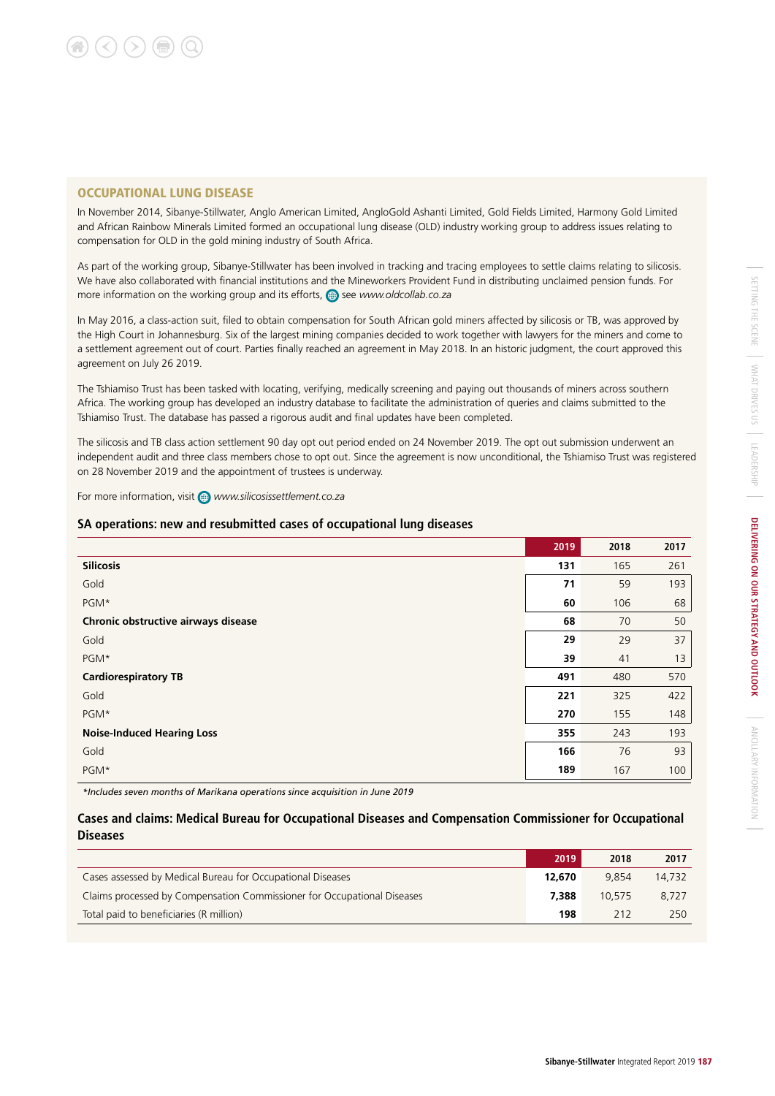### OCCUPATIONAL LUNG DISEASE

In November 2014, Sibanye-Stillwater, Anglo American Limited, AngloGold Ashanti Limited, Gold Fields Limited, Harmony Gold Limited and African Rainbow Minerals Limited formed an occupational lung disease (OLD) industry working group to address issues relating to compensation for OLD in the gold mining industry of South Africa.

As part of the working group, Sibanye-Stillwater has been involved in tracking and tracing employees to settle claims relating to silicosis. We have also collaborated with financial institutions and the Mineworkers Provident Fund in distributing unclaimed pension funds. For more information on the working group and its efforts,  $\bigoplus$  see *www.oldcollab.co.za* 

In May 2016, a class-action suit, filed to obtain compensation for South African gold miners affected by silicosis or TB, was approved by the High Court in Johannesburg. Six of the largest mining companies decided to work together with lawyers for the miners and come to a settlement agreement out of court. Parties finally reached an agreement in May 2018. In an historic judgment, the court approved this agreement on July 26 2019.

The Tshiamiso Trust has been tasked with locating, verifying, medically screening and paying out thousands of miners across southern Africa. The working group has developed an industry database to facilitate the administration of queries and claims submitted to the Tshiamiso Trust. The database has passed a rigorous audit and final updates have been completed.

The silicosis and TB class action settlement 90 day opt out period ended on 24 November 2019. The opt out submission underwent an independent audit and three class members chose to opt out. Since the agreement is now unconditional, the Tshiamiso Trust was registered on 28 November 2019 and the appointment of trustees is underway.

For more information, visit *www.silicosissettlement.co.za*

### **SA operations: new and resubmitted cases of occupational lung diseases**

| <b>Silicosis</b><br>131<br>165                  | 261 |
|-------------------------------------------------|-----|
|                                                 |     |
| 71<br>Gold<br>59                                | 193 |
| PGM*<br>60<br>106                               | 68  |
| 68<br>Chronic obstructive airways disease<br>70 | 50  |
| 29<br>29<br>Gold                                | 37  |
| PGM*<br>39<br>41                                | 13  |
| 491<br><b>Cardiorespiratory TB</b><br>480       | 570 |
| 221<br>Gold<br>325                              | 422 |
| 270<br>PGM*<br>155                              | 148 |
| <b>Noise-Induced Hearing Loss</b><br>355<br>243 | 193 |
| Gold<br>166<br>76                               | 93  |
| PGM*<br>189<br>167                              | 100 |

*\*Includes seven months of Marikana operations since acquisition in June 2019*

### **Cases and claims: Medical Bureau for Occupational Diseases and Compensation Commissioner for Occupational Diseases**

|                                                                         | 2019   | 2018   | 2017   |
|-------------------------------------------------------------------------|--------|--------|--------|
| Cases assessed by Medical Bureau for Occupational Diseases              | 12.670 | 9.854  | 14.732 |
| Claims processed by Compensation Commissioner for Occupational Diseases | 7.388  | 10.575 | 8.727  |
| Total paid to beneficiaries (R million)                                 | 198    | 212    | 250    |